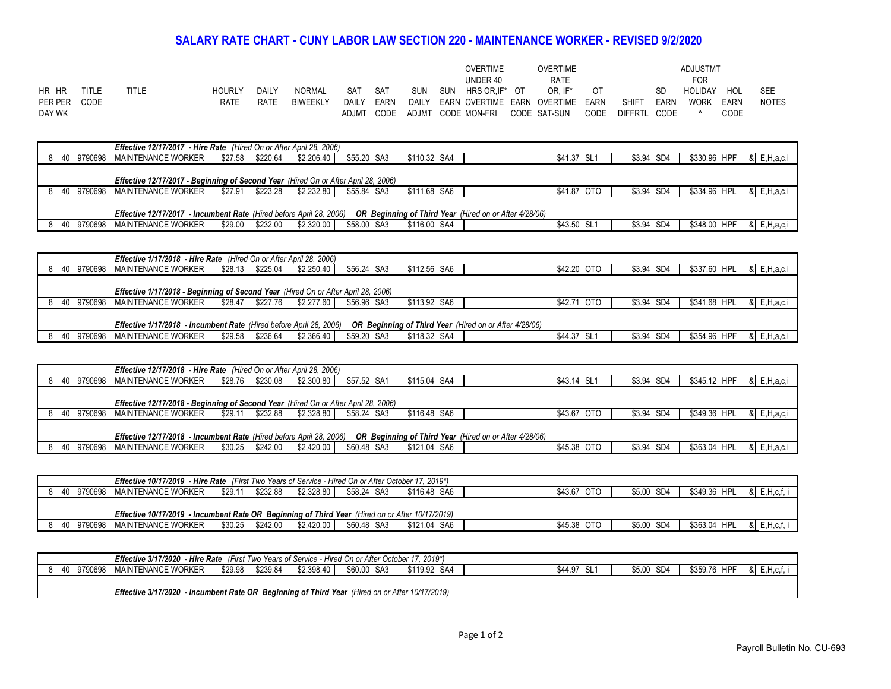## **SALARY RATE CHART - CUNY LABOR LAW SECTION 220 - MAINTENANCE WORKER - REVISED 9/2/2020**

|              |              |       |               |       |                 |       |      |            |     | OVERTIME           | <b>OVERTIME</b>                        |      |                |             | ADJUSTMT       |             |              |
|--------------|--------------|-------|---------------|-------|-----------------|-------|------|------------|-----|--------------------|----------------------------------------|------|----------------|-------------|----------------|-------------|--------------|
|              |              |       |               |       |                 |       |      |            |     | UNDER 40           | <b>RATE</b>                            |      |                |             | <b>FOR</b>     |             |              |
| HR HR        | <b>TITLE</b> | TITLE | <b>HOURLY</b> | DAILY | <b>NORMAL</b>   | SAT   | SAT  | <b>SUN</b> | SUN | HRS OR.IF* OT      | OR. IF*                                | -OT  |                | SD.         | <b>HOLIDAY</b> | HOL         | <b>SEE</b>   |
| PER PER CODE |              |       | RATE          | RATE  | <b>BIWEEKLY</b> | DAILY | EARN |            |     |                    | DAILY EARN OVERTIME EARN OVERTIME EARN |      | <b>SHIFT</b>   | EARN        | <b>WORK</b>    | EARN        | <b>NOTES</b> |
| DAY WK       |              |       |               |       |                 | ADJMT | CODE |            |     | ADJMT CODE MON-FRI | CODE SAT-SUN                           | CODE | <b>DIFFRTL</b> | <b>CODE</b> |                | <b>CODE</b> |              |

|     |         | <b>Effective 12/17/2017 - Hire Rate</b> (Hired On or After April 28, 2006)                |                  |          |            |             |                                                                                                                            |             |            |              |                            |
|-----|---------|-------------------------------------------------------------------------------------------|------------------|----------|------------|-------------|----------------------------------------------------------------------------------------------------------------------------|-------------|------------|--------------|----------------------------|
|     |         |                                                                                           |                  |          |            |             |                                                                                                                            |             |            |              |                            |
| 40  | 9790698 | MAINTENANCE WORKER                                                                        | \$27.58 \$220.64 |          | \$2,206.40 | \$55.20 SA3 | \$110.32 SA4                                                                                                               | \$41.37 SL1 | \$3.94 SD4 | \$330.96 HPF | $\&$ E, H, a, c, i         |
|     |         |                                                                                           |                  |          |            |             |                                                                                                                            |             |            |              |                            |
|     |         |                                                                                           |                  |          |            |             |                                                                                                                            |             |            |              |                            |
|     |         |                                                                                           |                  |          |            |             |                                                                                                                            |             |            |              |                            |
|     |         |                                                                                           |                  |          |            |             |                                                                                                                            |             |            |              |                            |
|     |         | <b>Effective 12/17/2017 - Beginning of Second Year (Hired On or After April 28, 2006)</b> |                  |          |            |             |                                                                                                                            |             |            |              |                            |
| 40  | 9790698 |                                                                                           |                  |          |            |             | \$111.68 SA6                                                                                                               | \$41.87 OTO | \$3.94 SD4 | \$334.96 HPL |                            |
|     |         | MAINTENANCE WORKER                                                                        | \$27.91 \$223.28 |          | \$2.232.80 | \$55.84 SA3 |                                                                                                                            |             |            |              | $\&$ E, H, a, c, i         |
|     |         |                                                                                           |                  |          |            |             |                                                                                                                            |             |            |              |                            |
|     |         |                                                                                           |                  |          |            |             |                                                                                                                            |             |            |              |                            |
|     |         |                                                                                           |                  |          |            |             |                                                                                                                            |             |            |              |                            |
|     |         |                                                                                           |                  |          |            |             | Effective 12/17/2017 - Incumbent Rate (Hired before April 28, 2006) OR Beginning of Third Year (Hired on or After 4/28/06) |             |            |              |                            |
|     |         |                                                                                           |                  |          |            |             |                                                                                                                            |             |            |              |                            |
| -40 | 9790698 | MAINTENANCE WORKER                                                                        | \$29.00          | \$232.00 | \$2,320,00 | \$58.00 SA3 | \$116.00 SA4                                                                                                               | \$43.50 SL1 | \$3.94 SD4 | \$348.00 HPF | $\mathsf{R}$ E, H, a, c, i |
|     |         |                                                                                           |                  |          |            |             |                                                                                                                            |             |            |              |                            |

|     |         | <b>Effective 1/17/2018 - Hire Rate</b> (Hired On or After April 28, 2006)                |                     |            |             |                                                               |             |            |              |                    |
|-----|---------|------------------------------------------------------------------------------------------|---------------------|------------|-------------|---------------------------------------------------------------|-------------|------------|--------------|--------------------|
| -40 | 9790698 | MAINTENANCE WORKER                                                                       | \$225.04<br>\$28.13 | \$2.250.40 | \$56.24 SA3 | \$112.56 SA6                                                  | \$42.20 OTO | \$3.94 SD4 | \$337.60 HPL | & E, H, a, c, i    |
|     |         |                                                                                          |                     |            |             |                                                               |             |            |              |                    |
|     |         | <b>Effective 1/17/2018 - Beginning of Second Year</b> (Hired On or After April 28, 2006) |                     |            |             |                                                               |             |            |              |                    |
| -40 | 9790698 | MAINTENANCE WORKER                                                                       | \$227.76<br>\$28.47 | \$2.277.60 | \$56.96 SA3 | \$113.92 SA6                                                  | \$42.71 OTO | \$3.94 SD4 | \$341.68 HPL | $\&$ E, H, a, c, i |
|     |         |                                                                                          |                     |            |             |                                                               |             |            |              |                    |
|     |         | <b>Effective 1/17/2018 - Incumbent Rate (Hired before April 28, 2006)</b>                |                     |            |             | <b>OR Beginning of Third Year</b> (Hired on or After 4/28/06) |             |            |              |                    |
| -40 | 9790698 | MAINTENANCE WORKER                                                                       | \$236.64<br>\$29.58 | \$2,366.40 | \$59.20 SA3 | \$118.32 SA4                                                  | \$44.37 SL1 | \$3.94 SD4 | \$354.96 HPF | & E, H, a, c, i    |

| <b>Effective 12/17/2018 - Hire Rate</b> (Hired On or After April 28, 2006)                                                           |         |                    |                  |                        |             |              |             |            |                                    |  |  |  |  |  |
|--------------------------------------------------------------------------------------------------------------------------------------|---------|--------------------|------------------|------------------------|-------------|--------------|-------------|------------|------------------------------------|--|--|--|--|--|
| -40                                                                                                                                  | 9790698 | MAINTENANCE WORKER | \$28.76 \$230.08 | \$2.300.80             | \$57.52 SA1 | \$115.04 SA4 | \$43.14 SL1 | \$3.94 SD4 | \$345.12 HPF<br>$\&$ E, H, a, c, i |  |  |  |  |  |
|                                                                                                                                      |         |                    |                  |                        |             |              |             |            |                                    |  |  |  |  |  |
| Effective 12/17/2018 - Beginning of Second Year (Hired On or After April 28, 2006)                                                   |         |                    |                  |                        |             |              |             |            |                                    |  |  |  |  |  |
| -40                                                                                                                                  | 9790698 | MAINTENANCE WORKER | \$29.11          | \$2.328.80<br>\$232.88 | \$58.24 SA3 | \$116.48 SA6 | \$43.67 OTO | \$3.94 SD4 | $\&$ E, H, a, c, i<br>\$349.36 HPL |  |  |  |  |  |
|                                                                                                                                      |         |                    |                  |                        |             |              |             |            |                                    |  |  |  |  |  |
| OR Beginning of Third Year (Hired on or After 4/28/06)<br><b>Effective 12/17/2018 - Incumbent Rate (Hired before April 28, 2006)</b> |         |                    |                  |                        |             |              |             |            |                                    |  |  |  |  |  |
| - 40                                                                                                                                 | 9790698 | MAINTENANCE WORKER | \$30.25          | \$2,420.00<br>\$242.00 | \$60.48 SA3 | \$121.04 SA6 | \$45.38 OTO | \$3.94 SD4 | \$363.04 HPL<br>$\&$ E, H, a, c, i |  |  |  |  |  |
|                                                                                                                                      |         |                    |                  |                        |             |              |             |            |                                    |  |  |  |  |  |

| 40 | 9790698 | MAINTENANCE WORKER                                                                                     | \$29.1' | \$232.88 | \$2,328.80 | \$58.24 SA3 | \$116.48 SA6 | \$43.67 OTO | \$5.00 SD4 | \$349.36 HPL | E.H.c.f. |
|----|---------|--------------------------------------------------------------------------------------------------------|---------|----------|------------|-------------|--------------|-------------|------------|--------------|----------|
|    |         |                                                                                                        |         |          |            |             |              |             |            |              |          |
|    |         | <b>Effective 10/17/2019 - Incumbent Rate OR Beginning of Third Year</b> (Hired on or After 10/17/2019) |         |          |            |             |              |             |            |              |          |
| 40 | 9790698 | MAINTENANCE WORKER                                                                                     | \$30.25 | \$242.00 | \$2,420.00 | \$60.48 SA3 | \$121.04 SA6 | \$45.38 OTO | \$5.00 SD4 | \$363.04 HPL | E.H.c.f  |

|               | $2019*$<br><b>Effective 3/17/2020</b><br>. Hire<br><b>Y After Octobe</b><br>.<br>. Rate<br>Years of Service -<br>ີ - Hired On<br>/⊢iret<br>$\sim$<br>I WO<br>- 11 - 21 |         |          |            |                |               |  |                                            |                           |                 |               |  |  |  |
|---------------|------------------------------------------------------------------------------------------------------------------------------------------------------------------------|---------|----------|------------|----------------|---------------|--|--------------------------------------------|---------------------------|-----------------|---------------|--|--|--|
| 9790698<br>40 | : Worker<br>MAINTENANCE.                                                                                                                                               | \$29.98 | \$239.84 | \$2.398.40 | \$60.00<br>SA3 | \$1199<br>SA4 |  | $^{\star}$ 44 m.<br>$\sim$<br>344.91<br>◡∟ | SD <sub>4</sub><br>\$5.00 | HDP<br>\$359.76 | $\alpha$<br>. |  |  |  |
|               |                                                                                                                                                                        |         |          |            |                |               |  |                                            |                           |                 |               |  |  |  |

*Effective 3/17/2020 - Incumbent Rate OR Beginning of Third Year (Hired on or After 10/17/2019)*